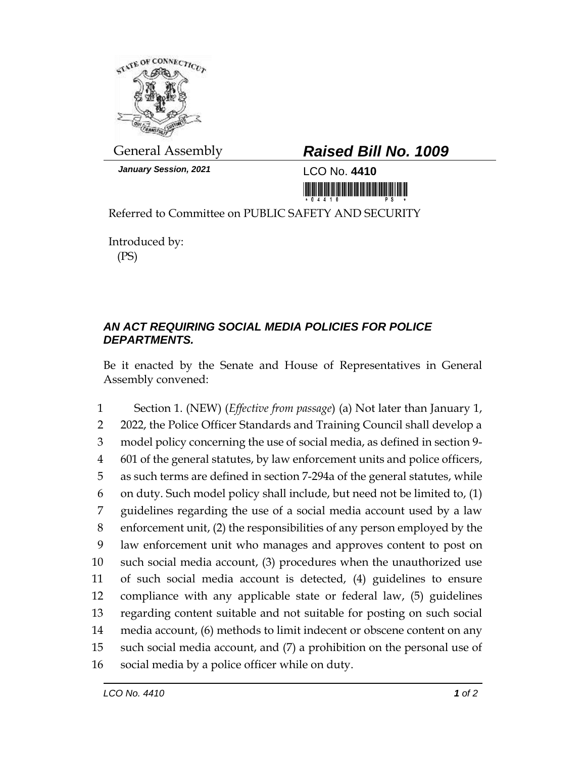

*January Session, 2021* LCO No. **4410**

## General Assembly *Raised Bill No. 1009*

<u> 1999 - An Dùbhlachd Marwrig Marwr a 1999 - An Dùbhlachd Marwr a 1999 - An Dùbhlachd Marwr a 1999 - An Dùbhlach</u>

Referred to Committee on PUBLIC SAFETY AND SECURITY

Introduced by: (PS)

## *AN ACT REQUIRING SOCIAL MEDIA POLICIES FOR POLICE DEPARTMENTS.*

Be it enacted by the Senate and House of Representatives in General Assembly convened:

 Section 1. (NEW) (*Effective from passage*) (a) Not later than January 1, 2 2022, the Police Officer Standards and Training Council shall develop a model policy concerning the use of social media, as defined in section 9- 601 of the general statutes, by law enforcement units and police officers, as such terms are defined in section 7-294a of the general statutes, while on duty. Such model policy shall include, but need not be limited to, (1) guidelines regarding the use of a social media account used by a law enforcement unit, (2) the responsibilities of any person employed by the law enforcement unit who manages and approves content to post on such social media account, (3) procedures when the unauthorized use of such social media account is detected, (4) guidelines to ensure compliance with any applicable state or federal law, (5) guidelines regarding content suitable and not suitable for posting on such social media account, (6) methods to limit indecent or obscene content on any such social media account, and (7) a prohibition on the personal use of social media by a police officer while on duty.